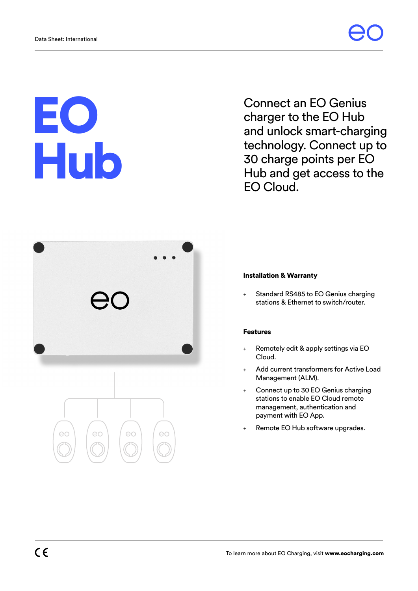## EO Hub

Connect an EO Genius charger to the EO Hub and unlock smart-charging technology. Connect up to 30 charge points per EO Hub and get access to the EO Cloud.



## Installation & Warranty

+ Standard RS485 to EO Genius charging stations & Ethernet to switch/router.

## Features

- Remotely edit & apply settings via EO Cloud.
- Add current transformers for Active Load Management (ALM).
- + Connect up to 30 EO Genius charging stations to enable EO Cloud remote management, authentication and payment with EO App.
- Remote EO Hub software upgrades.